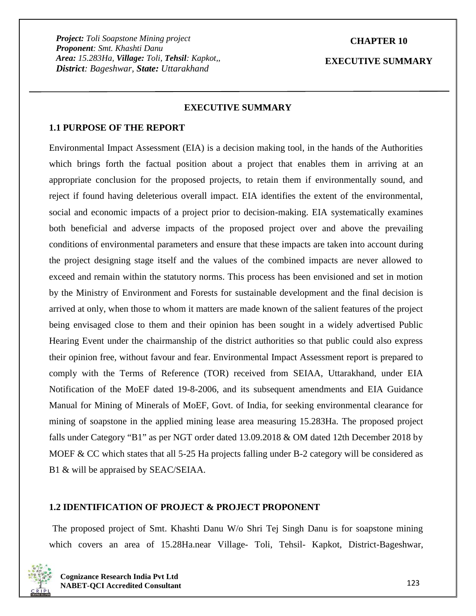## **CHAPTER 10**

**EXECUTIVE SUMMARY**

#### **EXECUTIVE SUMMARY**

#### **1.1 PURPOSE OF THE REPORT**

Environmental Impact Assessment (EIA) is a decision making tool, in the hands of the Authorities which brings forth the factual position about a project that enables them in arriving at an appropriate conclusion for the proposed projects, to retain them if environmentally sound, and reject if found having deleterious overall impact. EIA identifies the extent of the environmental, social and economic impacts of a project prior to decision-making. EIA systematically examines both beneficial and adverse impacts of the proposed project over and above the prevailing conditions of environmental parameters and ensure that these impacts are taken into account during the project designing stage itself and the values of the combined impacts are never allowed to exceed and remain within the statutory norms. This process has been envisioned and set in motion by the Ministry of Environment and Forests for sustainable development and the final decision is arrived at only, when those to whom it matters are made known of the salient features of the project being envisaged close to them and their opinion has been sought in a widely advertised Public Hearing Event under the chairmanship of the district authorities so that public could also express their opinion free, without favour and fear. Environmental Impact Assessment report is prepared to comply with the Terms of Reference (TOR) received from SEIAA, Uttarakhand, under EIA Notification of the MoEF dated 19-8-2006, and its subsequent amendments and EIA Guidance Manual for Mining of Minerals of MoEF, Govt. of India, for seeking environmental clearance for mining of soapstone in the applied mining lease area measuring 15.283Ha. The proposed project falls under Category "B1" as per NGT order dated 13.09.2018 & OM dated 12th December 2018 by MOEF  $\& CC$  which states that all 5-25 Ha projects falling under B-2 category will be considered as B1 & will be appraised by SEAC/SEIAA.

## **1.2 IDENTIFICATION OF PROJECT & PROJECT PROPONENT**

The proposed project of Smt. Khashti Danu W/o Shri Tej Singh Danu is for soapstone mining which covers an area of 15.28Ha.near Village- Toli, Tehsil- Kapkot, District-Bageshwar,

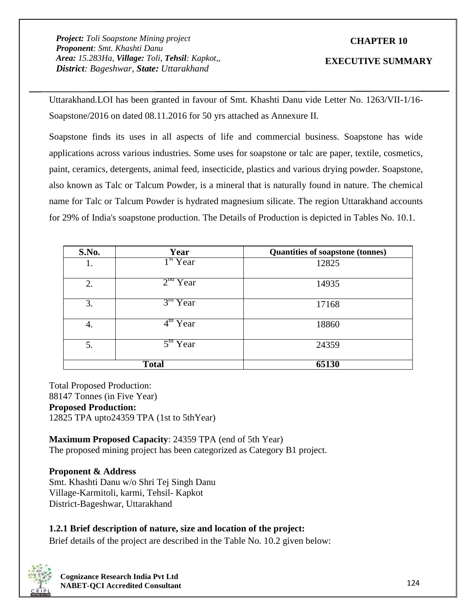# **CHAPTER 10**

### **EXECUTIVE SUMMARY**

Uttarakhand.LOI has been granted in favour of Smt. Khashti Danu vide Letter No. 1263/VII-1/16- Soapstone/2016 on dated 08.11.2016 for 50 yrs attached as Annexure II.

Soapstone finds its uses in all aspects of life and commercial business. Soapstone has wide applications across various industries. Some uses for soapstone or talc are paper, textile, cosmetics, paint, ceramics, detergents, animal feed, insecticide, plastics and various drying powder. Soapstone, also known as Talc or Talcum Powder, is a mineral that is naturally found in nature. The chemical name for Talc or Talcum Powder is hydrated magnesium silicate. The region Uttarakhand accounts for 29% of India's soapstone production. The Details of Production is depicted in Tables No. 10.1.

| S.No. | Year                 | <b>Quantities of soapstone (tonnes)</b> |
|-------|----------------------|-----------------------------------------|
| Ī.    | 1 <sup>st</sup> Year | 12825                                   |
| 2.    | $2na$ Year           | 14935                                   |
| 3.    | $3^{ra}$ Year        | 17168                                   |
| 4.    | $4^{\text{m}}$ Year  | 18860                                   |
| 5.    | $5^{\text{m}}$ Year  | 24359                                   |
|       | <b>Total</b>         | 65130                                   |

Total Proposed Production: 88147 Tonnes (in Five Year) **Proposed Production:** 12825 TPA upto24359 TPA (1st to 5thYear)

**Maximum Proposed Capacity**: 24359 TPA (end of 5th Year) The proposed mining project has been categorized as Category B1 project.

## **Proponent & Address**

Smt. Khashti Danu w/o Shri Tej Singh Danu Village-Karmitoli, karmi, Tehsil- Kapkot District-Bageshwar, Uttarakhand

## **1.2.1 Brief description of nature, size and location of the project:**

Brief details of the project are described in the Table No. 10.2 given below:

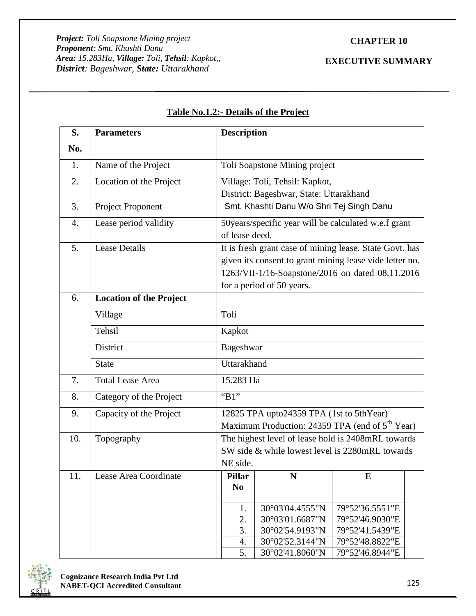# **CHAPTER 10**

# **EXECUTIVE SUMMARY**

| S.  | <b>Parameters</b>              |                                                                                                                                                                                                     | <b>Description</b>                                                        |                                                                                                       |  |  |  |
|-----|--------------------------------|-----------------------------------------------------------------------------------------------------------------------------------------------------------------------------------------------------|---------------------------------------------------------------------------|-------------------------------------------------------------------------------------------------------|--|--|--|
| No. |                                |                                                                                                                                                                                                     |                                                                           |                                                                                                       |  |  |  |
| 1.  | Name of the Project            |                                                                                                                                                                                                     | Toli Soapstone Mining project                                             |                                                                                                       |  |  |  |
| 2.  | Location of the Project        |                                                                                                                                                                                                     | Village: Toli, Tehsil: Kapkot,<br>District: Bageshwar, State: Uttarakhand |                                                                                                       |  |  |  |
| 3.  | Project Proponent              |                                                                                                                                                                                                     | Smt. Khashti Danu W/o Shri Tej Singh Danu                                 |                                                                                                       |  |  |  |
| 4.  | Lease period validity          | of lease deed.                                                                                                                                                                                      |                                                                           | 50 years/specific year will be calculated w.e.f grant                                                 |  |  |  |
| 5.  | <b>Lease Details</b>           | It is fresh grant case of mining lease. State Govt. has<br>given its consent to grant mining lease vide letter no.<br>1263/VII-1/16-Soapstone/2016 on dated 08.11.2016<br>for a period of 50 years. |                                                                           |                                                                                                       |  |  |  |
| 6.  | <b>Location of the Project</b> |                                                                                                                                                                                                     |                                                                           |                                                                                                       |  |  |  |
|     | Village                        | Toli                                                                                                                                                                                                |                                                                           |                                                                                                       |  |  |  |
|     | Tehsil                         | Kapkot                                                                                                                                                                                              |                                                                           |                                                                                                       |  |  |  |
|     | District                       | Bageshwar                                                                                                                                                                                           |                                                                           |                                                                                                       |  |  |  |
|     | <b>State</b>                   | Uttarakhand                                                                                                                                                                                         |                                                                           |                                                                                                       |  |  |  |
| 7.  | <b>Total Lease Area</b>        | 15.283 Ha                                                                                                                                                                                           |                                                                           |                                                                                                       |  |  |  |
| 8.  | Category of the Project        | "B1"                                                                                                                                                                                                |                                                                           |                                                                                                       |  |  |  |
| 9.  | Capacity of the Project        |                                                                                                                                                                                                     | 12825 TPA upto24359 TPA (1st to 5thYear)                                  | Maximum Production: 24359 TPA (end of 5 <sup>th</sup> Year)                                           |  |  |  |
| 10. | Topography                     | NE side.                                                                                                                                                                                            |                                                                           | The highest level of lease hold is 2408mRL towards<br>SW side & while lowest level is 2280mRL towards |  |  |  |
| 11. | Lease Area Coordinate          | <b>Pillar</b><br>N <sub>0</sub>                                                                                                                                                                     | N                                                                         | E                                                                                                     |  |  |  |
|     |                                | 1.<br>2.                                                                                                                                                                                            | 30°03'04.4555"N<br>30°03'01.6687"N                                        | 79°52'36.5551"E<br>79°52'46.9030"E                                                                    |  |  |  |
|     |                                | 3.<br>4.                                                                                                                                                                                            | 30°02'54.9193"N<br>30°02'52.3144"N                                        | 79°52'41.5439"E<br>79°52'48.8822"E                                                                    |  |  |  |
|     |                                | 5.                                                                                                                                                                                                  | 30°02'41.8060"N                                                           | 79°52'46.8944"E                                                                                       |  |  |  |

# **Table No.1.2:- Details of the Project**

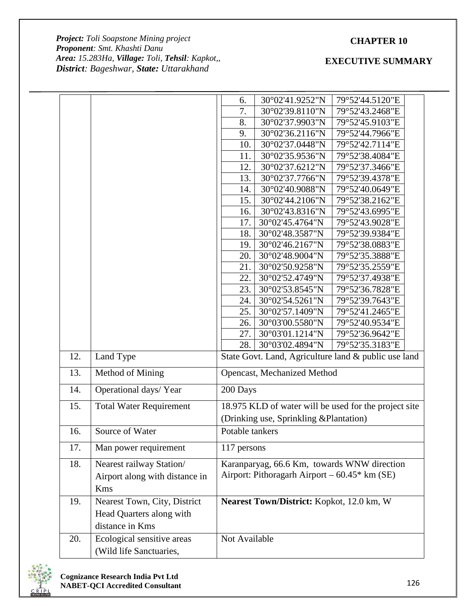# **CHAPTER 10**

*Project: Toli Soapstone Mining project Proponent: Smt. Khashti Danu Area: 15.283Ha, Village: Toli, Tehsil: Kapkot,, District: Bageshwar, State: Uttarakhand*

|     |                                | 6.              | 30°02'41.9252"N                                 | 79°52'44.5120"E                                       |
|-----|--------------------------------|-----------------|-------------------------------------------------|-------------------------------------------------------|
|     |                                | 7.              | 30°02'39.8110"N                                 | 79°52'43.2468"E                                       |
|     |                                | 8.              | 30°02'37.9903"N                                 | 79°52'45.9103"E                                       |
|     |                                | 9.              | 30°02'36.2116"N                                 | 79°52'44.7966"E                                       |
|     |                                | 10.             | 30°02'37.0448"N                                 | 79°52'42.7114"E                                       |
|     |                                | 11.             | 30°02'35.9536"N                                 | 79°52'38.4084"E                                       |
|     |                                | 12.             | 30°02'37.6212"N                                 | 79°52'37.3466"E                                       |
|     |                                | 13.             | 30°02'37.7766"N                                 | 79°52'39.4378"E                                       |
|     |                                | 14.             | 30°02'40.9088"N                                 | 79°52'40.0649"E                                       |
|     |                                | 15.             | 30°02'44.2106"N                                 | 79°52'38.2162"E                                       |
|     |                                | 16.             | 30°02'43.8316"N                                 | 79°52'43.6995"E                                       |
|     |                                | 17.             | 30°02'45.4764"N                                 | 79°52'43.9028"E                                       |
|     |                                | 18.             | 30°02'48.3587"N                                 | 79°52'39.9384"E                                       |
|     |                                | 19.             | $30^{\circ}02'46.2167''N$                       | 79°52'38.0883"E                                       |
|     |                                | 20.             | 30°02'48.9004"N                                 | 79°52'35.3888"E                                       |
|     |                                | 21.             | 30°02'50.9258"N                                 | 79°52'35.2559"E                                       |
|     |                                | 22.             | 30°02'52.4749"N                                 | 79°52'37.4938"E                                       |
|     |                                | 23.             | 30°02'53.8545"N                                 | 79°52'36.7828"E                                       |
|     |                                | 24.             | 30°02'54.5261"N                                 | 79°52'39.7643"E                                       |
|     |                                | 25.             | 30°02'57.1409"N                                 | 79°52'41.2465"E                                       |
|     |                                | 26.             | 30°03'00.5580"N                                 | 79°52'40.9534"E                                       |
|     |                                | 27.             | 30°03'01.1214"N                                 | 79°52'36.9642"E                                       |
|     |                                | 28.             | 30°03'02.4894"N                                 | 79°52'35.3183"E                                       |
| 12. | Land Type                      |                 |                                                 | State Govt. Land, Agriculture land & public use land  |
| 13. | Method of Mining               |                 | Opencast, Mechanized Method                     |                                                       |
| 14. | Operational days/Year          | 200 Days        |                                                 |                                                       |
| 15. | <b>Total Water Requirement</b> |                 |                                                 | 18.975 KLD of water will be used for the project site |
|     |                                |                 | (Drinking use, Sprinkling & Plantation)         |                                                       |
| 16. | Source of Water                | Potable tankers |                                                 |                                                       |
| 17. | Man power requirement          | 117 persons     |                                                 |                                                       |
| 18. | Nearest railway Station/       |                 |                                                 | Karanparyag, 66.6 Km, towards WNW direction           |
|     | Airport along with distance in |                 | Airport: Pithoragarh Airport – $60.45*$ km (SE) |                                                       |
|     | Kms                            |                 |                                                 |                                                       |
| 19. | Nearest Town, City, District   |                 | Nearest Town/District: Kopkot, 12.0 km, W       |                                                       |
|     | Head Quarters along with       |                 |                                                 |                                                       |
|     | distance in Kms                |                 |                                                 |                                                       |
|     |                                |                 |                                                 |                                                       |
| 20. | Ecological sensitive areas     | Not Available   |                                                 |                                                       |
|     | (Wild life Sanctuaries,        |                 |                                                 |                                                       |

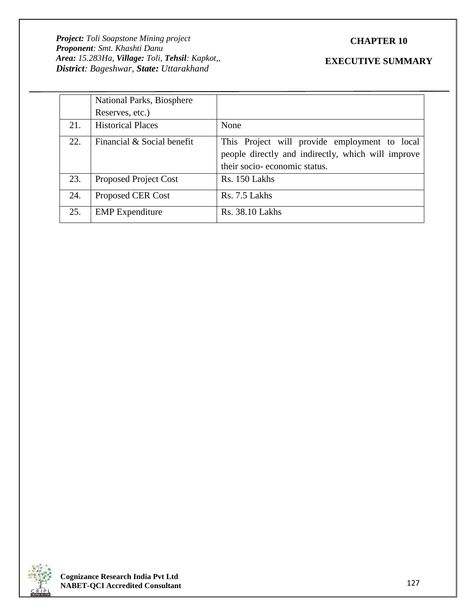# **CHAPTER 10**

|     | National Parks, Biosphere    |                                                                                                     |
|-----|------------------------------|-----------------------------------------------------------------------------------------------------|
|     | Reserves, etc.)              |                                                                                                     |
| 21. | <b>Historical Places</b>     | None                                                                                                |
| 22. | Financial & Social benefit   | This Project will provide employment to local<br>people directly and indirectly, which will improve |
|     |                              | their socio-economic status.                                                                        |
| 23. | <b>Proposed Project Cost</b> | Rs. 150 Lakhs                                                                                       |
| 24. | Proposed CER Cost            | Rs. 7.5 Lakhs                                                                                       |
| 25. | <b>EMP</b> Expenditure       | <b>Rs. 38.10 Lakhs</b>                                                                              |

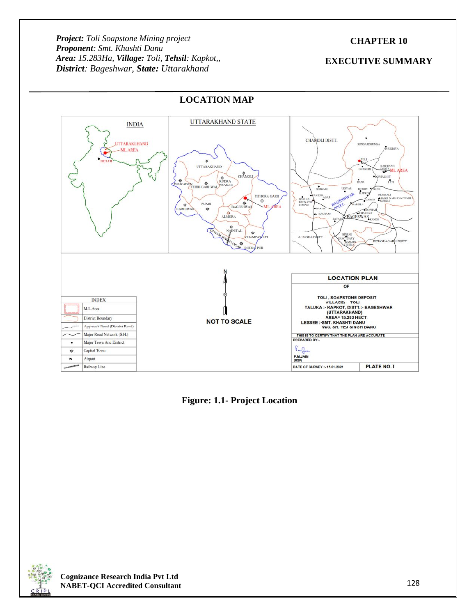# **CHAPTER 10**

# **EXECUTIVE SUMMARY**



# **LOCATION MAP**

**Figure: 1.1- Project Location**

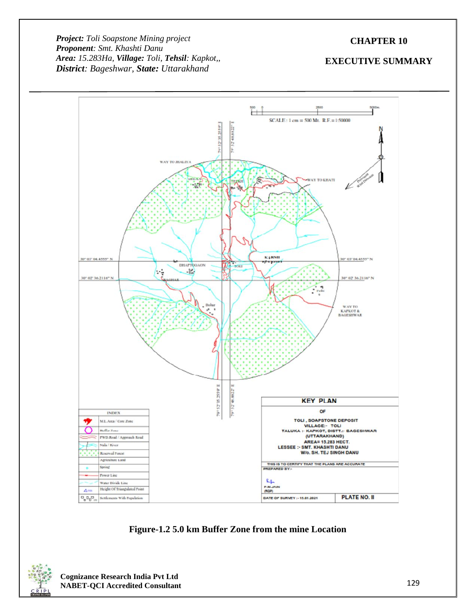# **CHAPTER 10**



**Figure-1.2 5.0 km Buffer Zone from the mine Location**

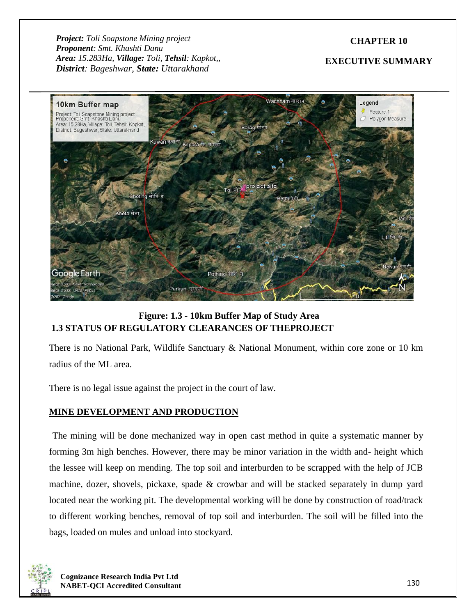# **CHAPTER 10**

# **EXECUTIVE SUMMARY**



# **Figure: 1.3 - 10km Buffer Map of Study Area 1.3 STATUS OF REGULATORY CLEARANCES OF THEPROJECT**

There is no National Park, Wildlife Sanctuary & National Monument, within core zone or 10 km radius of the ML area.

There is no legal issue against the project in the court of law.

# **MINE DEVELOPMENT AND PRODUCTION**

The mining will be done mechanized way in open cast method in quite a systematic manner by forming 3m high benches. However, there may be minor variation in the width and- height which the lessee will keep on mending. The top soil and interburden to be scrapped with the help of JCB machine, dozer, shovels, pickaxe, spade & crowbar and will be stacked separately in dump yard located near the working pit. The developmental working will be done by construction of road/track to different working benches, removal of top soil and interburden. The soil will be filled into the bags, loaded on mules and unload into stockyard.

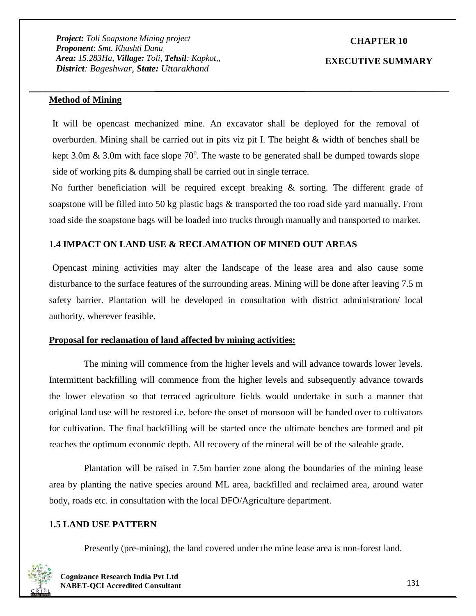# **CHAPTER 10**

#### **EXECUTIVE SUMMARY**

### **Method of Mining**

It will be opencast mechanized mine. An excavator shall be deployed for the removal of overburden. Mining shall be carried out in pits viz pit I. The height & width of benches shall be kept 3.0m & 3.0m with face slope  $70^{\circ}$ . The waste to be generated shall be dumped towards slope side of working pits & dumping shall be carried out in single terrace.

No further beneficiation will be required except breaking & sorting. The different grade of soapstone will be filled into 50 kg plastic bags & transported the too road side yard manually. From road side the soapstone bags will be loaded into trucks through manually and transported to market.

# **1.4 IMPACT ON LAND USE & RECLAMATION OF MINED OUT AREAS**

Opencast mining activities may alter the landscape of the lease area and also cause some disturbance to the surface features of the surrounding areas. Mining will be done after leaving 7.5 m safety barrier. Plantation will be developed in consultation with district administration/ local authority, wherever feasible.

#### **Proposal for reclamation of land affected by mining activities:**

The mining will commence from the higher levels and will advance towards lower levels. Intermittent backfilling will commence from the higher levels and subsequently advance towards the lower elevation so that terraced agriculture fields would undertake in such a manner that original land use will be restored i.e. before the onset of monsoon will be handed over to cultivators for cultivation. The final backfilling will be started once the ultimate benches are formed and pit reaches the optimum economic depth. All recovery of the mineral will be of the saleable grade.

Plantation will be raised in 7.5m barrier zone along the boundaries of the mining lease area by planting the native species around ML area, backfilled and reclaimed area, around water body, roads etc. in consultation with the local DFO/Agriculture department.

#### **1.5 LAND USE PATTERN**

Presently (pre-mining), the land covered under the mine lease area is non-forest land.

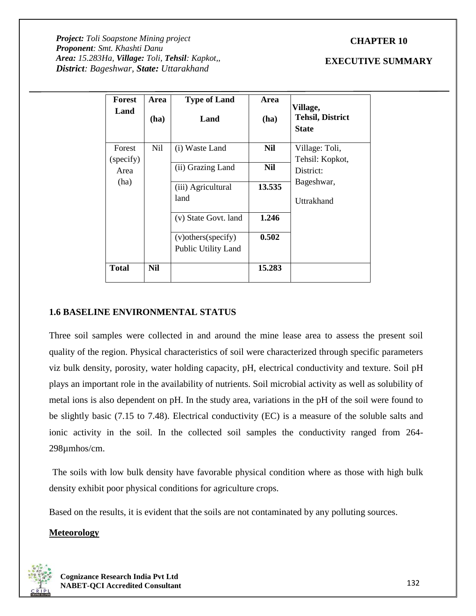# **CHAPTER 10**

*Project: Toli Soapstone Mining project Proponent: Smt. Khashti Danu Area: 15.283Ha, Village: Toli, Tehsil: Kapkot,, District: Bageshwar, State: Uttarakhand*

### **EXECUTIVE SUMMARY**

| Forest<br>Land      | Area       | <b>Type of Land</b>                                | Area   | Village,                                |
|---------------------|------------|----------------------------------------------------|--------|-----------------------------------------|
|                     | (ha)       | Land                                               | (ha)   | <b>Tehsil, District</b><br><b>State</b> |
| Forest<br>(specify) | <b>Nil</b> | (i) Waste Land                                     | Nil    | Village: Toli,<br>Tehsil: Kopkot,       |
| Area                |            | (ii) Grazing Land                                  | Nil    | District:                               |
| (ha)                |            | (iii) Agricultural<br>land                         | 13.535 | Bageshwar,<br>Uttrakhand                |
|                     |            | (v) State Govt. land                               | 1.246  |                                         |
|                     |            | (v) others (specify)<br><b>Public Utility Land</b> | 0.502  |                                         |
| <b>Total</b>        | <b>Nil</b> |                                                    | 15.283 |                                         |

# **1.6 BASELINE ENVIRONMENTAL STATUS**

Three soil samples were collected in and around the mine lease area to assess the present soil quality of the region. Physical characteristics of soil were characterized through specific parameters viz bulk density, porosity, water holding capacity, pH, electrical conductivity and texture. Soil pH plays an important role in the availability of nutrients. Soil microbial activity as well as solubility of metal ions is also dependent on pH. In the study area, variations in the pH of the soil were found to be slightly basic (7.15 to 7.48). Electrical conductivity (EC) is a measure of the soluble salts and ionic activity in the soil. In the collected soil samples the conductivity ranged from 264- 298µmhos/cm.

The soils with low bulk density have favorable physical condition where as those with high bulk density exhibit poor physical conditions for agriculture crops.

Based on the results, it is evident that the soils are not contaminated by any polluting sources.

## **Meteorology**

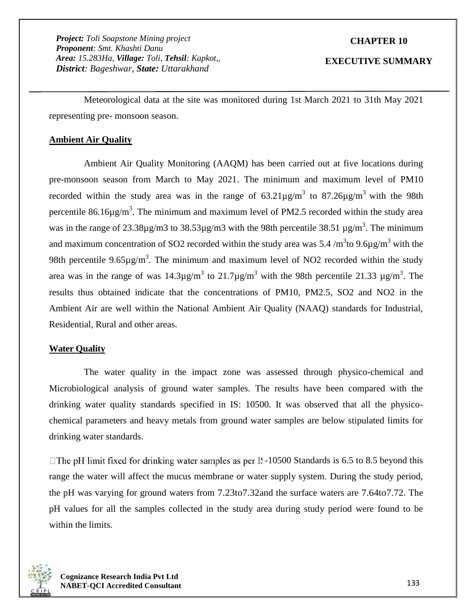## **CHAPTER 10**

#### **EXECUTIVE SUMMARY**

Meteorological data at the site was monitored during 1st March 2021 to 31th May 2021 representing pre- monsoon season.

# **Ambient Air Quality**

Ambient Air Quality Monitoring (AAQM) has been carried out at five locations during pre-monsoon season from March to May 2021. The minimum and maximum level of PM10 recorded within the study area was in the range of  $63.21 \mu g/m^3$  to  $87.26 \mu g/m^3$  with the 98th percentile 86.16 $\mu$ g/m<sup>3</sup>. The minimum and maximum level of PM2.5 recorded within the study area was in the range of 23.38 $\mu$ g/m3 to 38.53 $\mu$ g/m3 with the 98th percentile 38.51  $\mu$ g/m<sup>3</sup>. The minimum and maximum concentration of SO2 recorded within the study area was 5.4 /m<sup>3</sup>to 9.6µg/m<sup>3</sup> with the 98th percentile 9.65 $\mu$ g/m<sup>3</sup>. The minimum and maximum level of NO2 recorded within the study area was in the range of was  $14.3\mu$ g/m<sup>3</sup> to  $21.7\mu$ g/m<sup>3</sup> with the 98th percentile  $21.33 \mu$ g/m<sup>3</sup>. The results thus obtained indicate that the concentrations of PM10, PM2.5, SO2 and NO2 in the Ambient Air are well within the National Ambient Air Quality (NAAQ) standards for Industrial, Residential, Rural and other areas.

# **Water Quality**

The water quality in the impact zone was assessed through physico-chemical and Microbiological analysis of ground water samples. The results have been compared with the drinking water quality standards specified in IS: 10500. It was observed that all the physico chemical parameters and heavy metals from ground water samples are below stipulated limits for drinking water standards.

 $\Box$  The pH limit fixed for drinking water samples as per IS-10500 Standards is 6.5 to 8.5 beyond this range the water will affect the mucus membrane or water supply system. During the study period, the pH was varying for ground waters from 7.23to7.32and the surface waters are 7.64to7.72. The pH values for all the samples collected in the study area during study period were found to be within the limits.

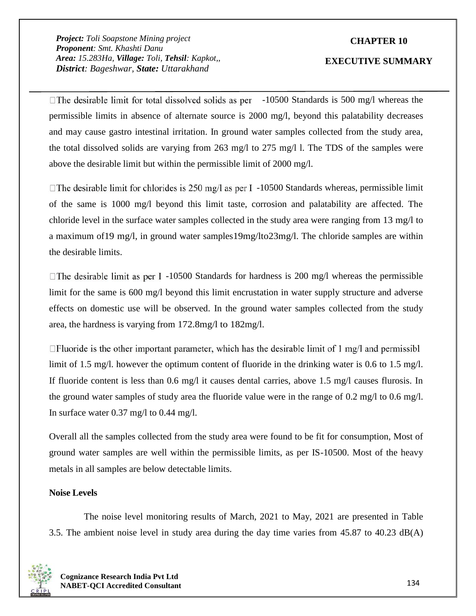# **CHAPTER 10**

#### **EXECUTIVE SUMMARY**

 $\Box$ The desirable limit for total dissolved solids as per  $\Box$  -10500 Standards is 500 mg/l whereas the permissible limits in absence of alternate source is 2000 mg/l, beyond this palatability decreases and may cause gastro intestinal irritation. In ground water samples collected from the study area, the total dissolved solids are varying from 263 mg/l to 275 mg/l l. The TDS of the samples were above the desirable limit but within the permissible limit of 2000 mg/l.

 $\Box$ The desirable limit for chlorides is 250 mg/l as per I -10500 Standards whereas, permissible limit of the same is 1000 mg/l beyond this limit taste, corrosion and palatability are affected. The chloride level in the surface water samples collected in the study area were ranging from 13 mg/l to a maximum of19 mg/l, in ground water samples19mg/lto23mg/l. The chloride samples are within the desirable limits.

 $\Box$  The desirable limit as per I -10500 Standards for hardness is 200 mg/l whereas the permissible limit for the same is 600 mg/l beyond this limit encrustation in water supply structure and adverse effects on domestic use will be observed. In the ground water samples collected from the study area, the hardness is varying from 172.8mg/l to 182mg/l.

 $\Box$  Fluoride is the other important parameter, which has the desirable limit of 1 mg/l and permissibl limit of 1.5 mg/l. however the optimum content of fluoride in the drinking water is 0.6 to 1.5 mg/l. If fluoride content is less than 0.6 mg/l it causes dental carries, above 1.5 mg/l causes flurosis. In the ground water samples of study area the fluoride value were in the range of 0.2 mg/l to 0.6 mg/l. In surface water 0.37 mg/l to 0.44 mg/l.

Overall all the samples collected from the study area were found to be fit for consumption, Most of ground water samples are well within the permissible limits, as per IS-10500. Most of the heavy metals in all samples are below detectable limits.

## **Noise Levels**

The noise level monitoring results of March, 2021 to May, 2021 are presented in Table 3.5. The ambient noise level in study area during the day time varies from 45.87 to 40.23 dB(A)

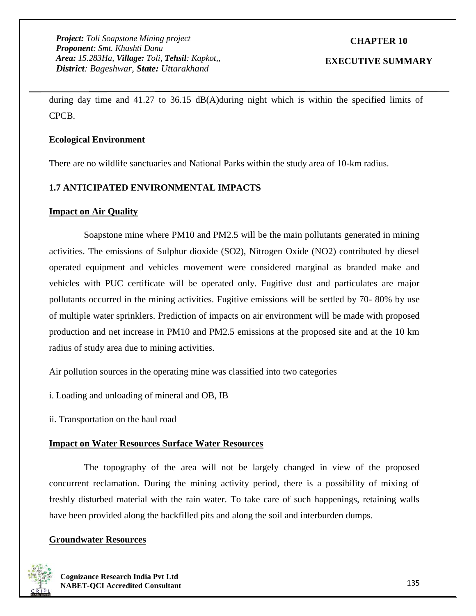# **CHAPTER 10**

## **EXECUTIVE SUMMARY**

during day time and 41.27 to 36.15 dB(A)during night which is within the specified limits of CPCB.

## **Ecological Environment**

There are no wildlife sanctuaries and National Parks within the study area of 10-km radius.

# **1.7 ANTICIPATED ENVIRONMENTAL IMPACTS**

# **Impact on Air Quality**

Soapstone mine where PM10 and PM2.5 will be the main pollutants generated in mining activities. The emissions of Sulphur dioxide (SO2), Nitrogen Oxide (NO2) contributed by diesel operated equipment and vehicles movement were considered marginal as branded make and vehicles with PUC certificate will be operated only. Fugitive dust and particulates are major pollutants occurred in the mining activities. Fugitive emissions will be settled by 70- 80% by use of multiple water sprinklers. Prediction of impacts on air environment will be made with proposed production and net increase in PM10 and PM2.5 emissions at the proposed site and at the 10 km radius of study area due to mining activities.

Air pollution sources in the operating mine was classified into two categories

i. Loading and unloading of mineral and OB, IB

ii. Transportation on the haul road

## **Impact on Water Resources Surface Water Resources**

The topography of the area will not be largely changed in view of the proposed concurrent reclamation. During the mining activity period, there is a possibility of mixing of freshly disturbed material with the rain water. To take care of such happenings, retaining walls have been provided along the backfilled pits and along the soil and interburden dumps.

# **Groundwater Resources**

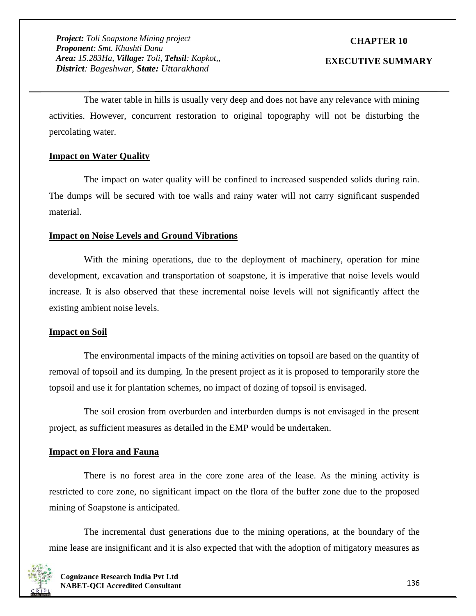# **CHAPTER 10**

#### **EXECUTIVE SUMMARY**

The water table in hills is usually very deep and does not have any relevance with mining activities. However, concurrent restoration to original topography will not be disturbing the percolating water.

## **Impact on Water Quality**

The impact on water quality will be confined to increased suspended solids during rain. The dumps will be secured with toe walls and rainy water will not carry significant suspended material.

#### **Impact on Noise Levels and Ground Vibrations**

With the mining operations, due to the deployment of machinery, operation for mine development, excavation and transportation of soapstone, it is imperative that noise levels would increase. It is also observed that these incremental noise levels will not significantly affect the existing ambient noise levels.

## **Impact on Soil**

The environmental impacts of the mining activities on topsoil are based on the quantity of removal of topsoil and its dumping. In the present project as it is proposed to temporarily store the topsoil and use it for plantation schemes, no impact of dozing of topsoil is envisaged.

The soil erosion from overburden and interburden dumps is not envisaged in the present project, as sufficient measures as detailed in the EMP would be undertaken.

#### **Impact on Flora and Fauna**

There is no forest area in the core zone area of the lease. As the mining activity is restricted to core zone, no significant impact on the flora of the buffer zone due to the proposed mining of Soapstone is anticipated.

The incremental dust generations due to the mining operations, at the boundary of the mine lease are insignificant and it is also expected that with the adoption of mitigatory measures as

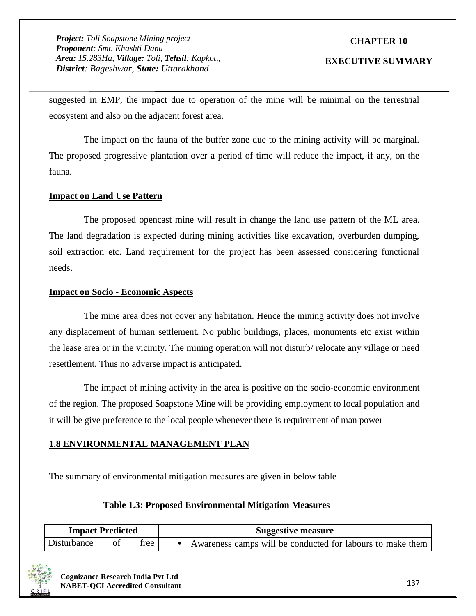# **CHAPTER 10**

#### **EXECUTIVE SUMMARY**

suggested in EMP, the impact due to operation of the mine will be minimal on the terrestrial ecosystem and also on the adjacent forest area.

The impact on the fauna of the buffer zone due to the mining activity will be marginal. The proposed progressive plantation over a period of time will reduce the impact, if any, on the fauna.

## **Impact on Land Use Pattern**

The proposed opencast mine will result in change the land use pattern of the ML area. The land degradation is expected during mining activities like excavation, overburden dumping, soil extraction etc. Land requirement for the project has been assessed considering functional needs.

## **Impact on Socio - Economic Aspects**

The mine area does not cover any habitation. Hence the mining activity does not involve any displacement of human settlement. No public buildings, places, monuments etc exist within the lease area or in the vicinity. The mining operation will not disturb/ relocate any village or need resettlement. Thus no adverse impact is anticipated.

The impact of mining activity in the area is positive on the socio-economic environment of the region. The proposed Soapstone Mine will be providing employment to local population and it will be give preference to the local people whenever there is requirement of man power

## **1.8 ENVIRONMENTAL MANAGEMENT PLAN**

The summary of environmental mitigation measures are given in below table

## **Table 1.3: Proposed Environmental Mitigation Measures**

| <b>Impact Predicted</b> |      |        | <b>Suggestive measure</b> |                                                            |  |
|-------------------------|------|--------|---------------------------|------------------------------------------------------------|--|
| Disturbance             | - of | tree I |                           | Awareness camps will be conducted for labours to make them |  |

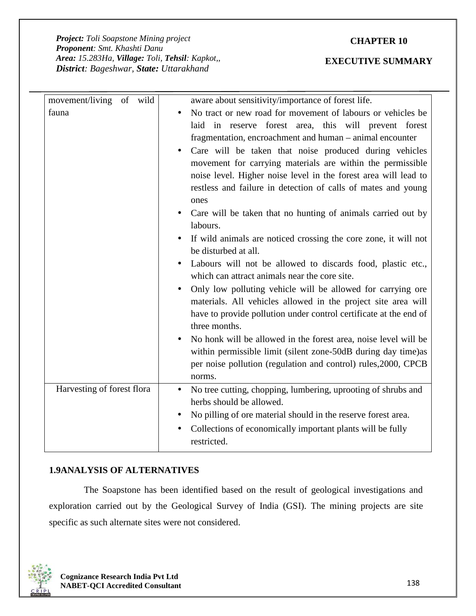# **CHAPTER 10**

## **EXECUTIVE SUMMARY**

| movement/living of wild<br>fauna | aware about sensitivity/importance of forest life.<br>No tract or new road for movement of labours or vehicles be<br>laid in reserve forest area, this will prevent forest<br>fragmentation, encroachment and human – animal encounter<br>Care will be taken that noise produced during vehicles<br>movement for carrying materials are within the permissible<br>noise level. Higher noise level in the forest area will lead to<br>restless and failure in detection of calls of mates and young |
|----------------------------------|----------------------------------------------------------------------------------------------------------------------------------------------------------------------------------------------------------------------------------------------------------------------------------------------------------------------------------------------------------------------------------------------------------------------------------------------------------------------------------------------------|
|                                  | ones<br>Care will be taken that no hunting of animals carried out by<br>labours.<br>If wild animals are noticed crossing the core zone, it will not<br>be disturbed at all.<br>Labours will not be allowed to discards food, plastic etc.,<br>which can attract animals near the core site.                                                                                                                                                                                                        |
|                                  | Only low polluting vehicle will be allowed for carrying ore<br>materials. All vehicles allowed in the project site area will<br>have to provide pollution under control certificate at the end of<br>three months.<br>No honk will be allowed in the forest area, noise level will be<br>within permissible limit (silent zone-50dB during day time) as                                                                                                                                            |
|                                  | per noise pollution (regulation and control) rules, 2000, CPCB<br>norms.                                                                                                                                                                                                                                                                                                                                                                                                                           |
| Harvesting of forest flora       | No tree cutting, chopping, lumbering, uprooting of shrubs and<br>herbs should be allowed.<br>No pilling of ore material should in the reserve forest area.<br>Collections of economically important plants will be fully<br>restricted.                                                                                                                                                                                                                                                            |

# **1.9ANALYSIS OF ALTERNATIVES**

The Soapstone has been identified based on the result of geological investigations and exploration carried out by the Geological Survey of India (GSI). The mining projects are site specific as such alternate sites were not considered.

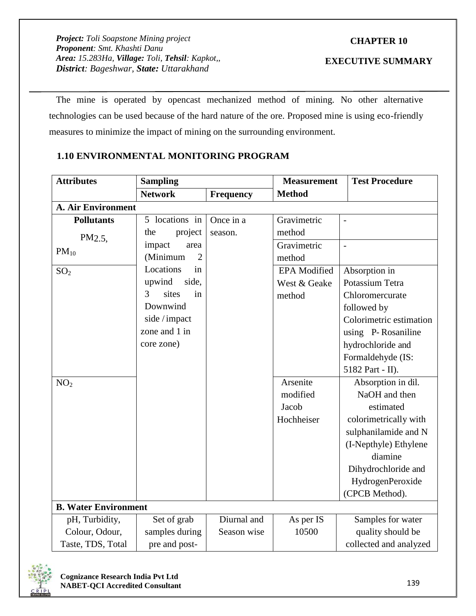# **CHAPTER 10**

# **EXECUTIVE SUMMARY**

The mine is operated by opencast mechanized method of mining. No other alternative technologies can be used because of the hard nature of the ore. Proposed mine is using eco-friendly measures to minimize the impact of mining on the surrounding environment.

# **1.10 ENVIRONMENTAL MONITORING PROGRAM**

| <b>Attributes</b>           | <b>Measurement</b><br><b>Sampling</b><br><b>Test Procedure</b> |             |                     |                         |
|-----------------------------|----------------------------------------------------------------|-------------|---------------------|-------------------------|
|                             | <b>Network</b>                                                 | Frequency   | <b>Method</b>       |                         |
| <b>A. Air Environment</b>   |                                                                |             |                     |                         |
| <b>Pollutants</b>           | 5 locations in                                                 | Once in a   | Gravimetric         |                         |
| PM2.5                       | the<br>project                                                 | season.     | method              |                         |
| $PM_{10}$                   | impact<br>area                                                 |             | Gravimetric         | $\overline{a}$          |
|                             | (Minimum<br>$\overline{2}$                                     |             | method              |                         |
| SO <sub>2</sub>             | Locations<br>in                                                |             | <b>EPA</b> Modified | Absorption in           |
|                             | upwind<br>side,                                                |             | West & Geake        | Potassium Tetra         |
|                             | 3<br>sites<br>in                                               |             | method              | Chloromercurate         |
|                             | Downwind                                                       |             |                     | followed by             |
|                             | side / impact                                                  |             |                     | Colorimetric estimation |
|                             | zone and 1 in                                                  |             |                     | using P-Rosaniline      |
|                             | core zone)                                                     |             |                     | hydrochloride and       |
|                             |                                                                |             |                     | Formaldehyde (IS:       |
|                             |                                                                |             |                     | 5182 Part - II).        |
| NO <sub>2</sub>             |                                                                |             | Arsenite            | Absorption in dil.      |
|                             |                                                                |             | modified            | NaOH and then           |
|                             |                                                                |             | Jacob               | estimated               |
|                             |                                                                |             | Hochheiser          | colorimetrically with   |
|                             |                                                                |             |                     | sulphanilamide and N    |
|                             |                                                                |             |                     | (I-Nepthyle) Ethylene   |
|                             |                                                                |             |                     | diamine                 |
|                             |                                                                |             |                     | Dihydrochloride and     |
|                             |                                                                |             |                     | HydrogenPeroxide        |
|                             |                                                                |             |                     | (CPCB Method).          |
| <b>B. Water Environment</b> |                                                                |             |                     |                         |
| pH, Turbidity,              | Set of grab                                                    | Diurnal and | As per IS           | Samples for water       |
| Colour, Odour,              | samples during                                                 | Season wise | 10500               | quality should be       |
| Taste, TDS, Total           | pre and post-                                                  |             |                     | collected and analyzed  |

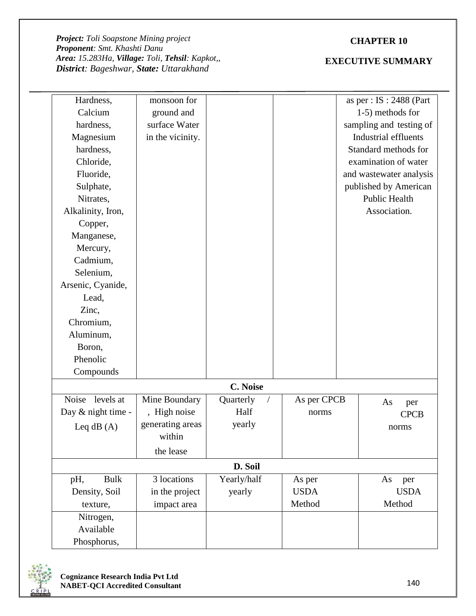# **CHAPTER 10**

| Hardness,          | monsoon for      |                         |             | as per : $IS : 2488$ (Part |
|--------------------|------------------|-------------------------|-------------|----------------------------|
| Calcium            | ground and       |                         |             | 1-5) methods for           |
| hardness,          | surface Water    |                         |             | sampling and testing of    |
| Magnesium          | in the vicinity. |                         |             | Industrial effluents       |
| hardness,          |                  |                         |             | Standard methods for       |
| Chloride,          |                  |                         |             | examination of water       |
| Fluoride,          |                  |                         |             | and wastewater analysis    |
| Sulphate,          |                  |                         |             | published by American      |
| Nitrates,          |                  |                         |             | <b>Public Health</b>       |
| Alkalinity, Iron,  |                  |                         |             | Association.               |
| Copper,            |                  |                         |             |                            |
| Manganese,         |                  |                         |             |                            |
| Mercury,           |                  |                         |             |                            |
| Cadmium,           |                  |                         |             |                            |
| Selenium,          |                  |                         |             |                            |
| Arsenic, Cyanide,  |                  |                         |             |                            |
| Lead,              |                  |                         |             |                            |
| Zinc,              |                  |                         |             |                            |
| Chromium,          |                  |                         |             |                            |
| Aluminum,          |                  |                         |             |                            |
| Boron,             |                  |                         |             |                            |
| Phenolic           |                  |                         |             |                            |
| Compounds          |                  |                         |             |                            |
|                    |                  | C. Noise                |             |                            |
| Noise levels at    | Mine Boundary    | Quarterly<br>$\sqrt{2}$ | As per CPCB | As<br>per                  |
| Day & night time - | , High noise     | Half                    | norms       | <b>CPCB</b>                |
| Leq $dB(A)$        | generating areas | yearly                  |             | norms                      |
|                    | within           |                         |             |                            |
|                    | the lease        |                         |             |                            |
|                    |                  | D. Soil                 |             |                            |
| <b>Bulk</b><br>pH, | 3 locations      | Yearly/half             | As per      | As<br>per                  |
| Density, Soil      | in the project   | yearly                  | <b>USDA</b> | <b>USDA</b>                |
| texture,           | impact area      |                         | Method      | Method                     |
| Nitrogen,          |                  |                         |             |                            |
| Available          |                  |                         |             |                            |
| Phosphorus,        |                  |                         |             |                            |

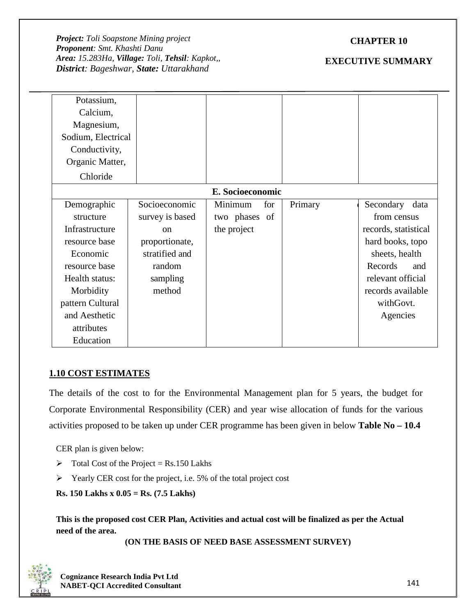# **CHAPTER 10**

# **EXECUTIVE SUMMARY**

| Potassium,<br>Calcium, |                 |                  |         |                      |  |
|------------------------|-----------------|------------------|---------|----------------------|--|
| Magnesium,             |                 |                  |         |                      |  |
| Sodium, Electrical     |                 |                  |         |                      |  |
| Conductivity,          |                 |                  |         |                      |  |
| Organic Matter,        |                 |                  |         |                      |  |
| Chloride               |                 |                  |         |                      |  |
|                        |                 | E. Socioeconomic |         |                      |  |
| Demographic            | Socioeconomic   | for<br>Minimum   | Primary | Secondary<br>data    |  |
| structure              | survey is based | two phases of    |         | from census          |  |
| Infrastructure         | $\alpha$        | the project      |         | records, statistical |  |
| resource base          | proportionate,  |                  |         | hard books, topo     |  |
| Economic               | stratified and  |                  |         | sheets, health       |  |
| resource base          | random          |                  |         | Records<br>and       |  |
| Health status:         | sampling        |                  |         | relevant official    |  |
| Morbidity              | method          |                  |         | records available    |  |
| pattern Cultural       |                 |                  |         | withGovt.            |  |
| and Aesthetic          |                 |                  |         | Agencies             |  |
| attributes             |                 |                  |         |                      |  |
| Education              |                 |                  |         |                      |  |

# **1.10 COST ESTIMATES**

The details of the cost to for the Environmental Management plan for 5 years, the budget for Corporate Environmental Responsibility (CER) and year wise allocation of funds for the various activities proposed to be taken up under CER programme has been given in below **Table No – 10.4**

CER plan is given below:

- $\triangleright$  Total Cost of the Project = Rs.150 Lakhs
- $\triangleright$  Yearly CER cost for the project, i.e. 5% of the total project cost

**Rs. 150 Lakhs x 0.05 = Rs. (7.5 Lakhs)**

**This is the proposed cost CER Plan, Activities and actual cost will be finalized as per the Actual need of the area.**

**(ON THE BASIS OF NEED BASE ASSESSMENT SURVEY)**

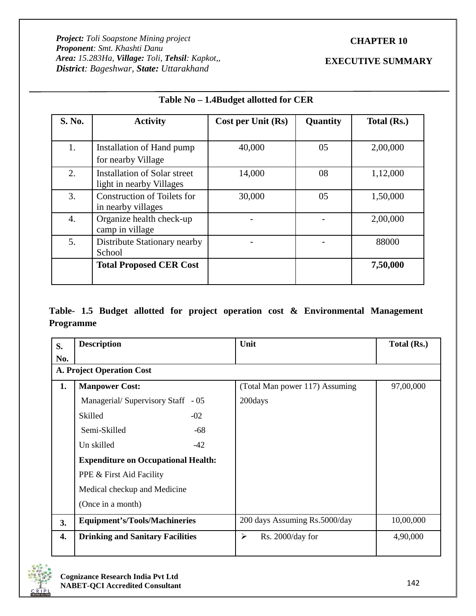# **CHAPTER 10**

# **EXECUTIVE SUMMARY**

| S. No. | <b>Activity</b>                                          | Cost per Unit (Rs) | Quantity | Total (Rs.) |
|--------|----------------------------------------------------------|--------------------|----------|-------------|
| 1.     | Installation of Hand pump<br>for nearby Village          | 40,000             | 05       | 2,00,000    |
| 2.     | Installation of Solar street<br>light in nearby Villages | 14,000             | 08       | 1,12,000    |
| 3.     | <b>Construction of Toilets for</b><br>in nearby villages | 30,000             | 05       | 1,50,000    |
| 4.     | Organize health check-up<br>camp in village              |                    |          | 2,00,000    |
| 5.     | Distribute Stationary nearby<br>School                   |                    |          | 88000       |
|        | <b>Total Proposed CER Cost</b>                           |                    |          | 7,50,000    |

# **Table No – 1.4Budget allotted for CER**

**Table- 1.5 Budget allotted for project operation cost & Environmental Management Programme**

| S.  | <b>Description</b>                         |       | Unit                                      | Total (Rs.) |  |  |  |  |
|-----|--------------------------------------------|-------|-------------------------------------------|-------------|--|--|--|--|
| No. |                                            |       |                                           |             |  |  |  |  |
|     | <b>A. Project Operation Cost</b>           |       |                                           |             |  |  |  |  |
| 1.  | <b>Manpower Cost:</b>                      |       | (Total Man power 117) Assuming            | 97,00,000   |  |  |  |  |
|     | Managerial/ Supervisory Staff - 05         |       | 200days                                   |             |  |  |  |  |
|     | Skilled                                    | $-02$ |                                           |             |  |  |  |  |
|     | Semi-Skilled                               | -68   |                                           |             |  |  |  |  |
|     | Un skilled                                 | $-42$ |                                           |             |  |  |  |  |
|     | <b>Expenditure on Occupational Health:</b> |       |                                           |             |  |  |  |  |
|     | PPE & First Aid Facility                   |       |                                           |             |  |  |  |  |
|     | Medical checkup and Medicine               |       |                                           |             |  |  |  |  |
|     | (Once in a month)                          |       |                                           |             |  |  |  |  |
| 3.  | <b>Equipment's/Tools/Machineries</b>       |       | 200 days Assuming Rs.5000/day             | 10,00,000   |  |  |  |  |
| 4.  | <b>Drinking and Sanitary Facilities</b>    |       | $\blacktriangleright$<br>Rs. 2000/day for | 4,90,000    |  |  |  |  |
|     |                                            |       |                                           |             |  |  |  |  |

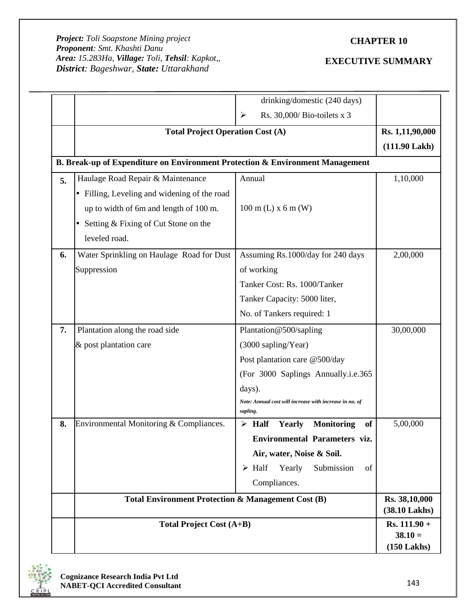# **CHAPTER 10**

|    | drinking/domestic (240 days)<br>Rs. 30,000/ Bio-toilets x 3<br>⋗<br><b>Total Project Operation Cost (A)</b>                                                                              |                                                                                                                                                                                                        | Rs. 1,11,90,000<br>$(111.90$ Lakh $)$                                               |
|----|------------------------------------------------------------------------------------------------------------------------------------------------------------------------------------------|--------------------------------------------------------------------------------------------------------------------------------------------------------------------------------------------------------|-------------------------------------------------------------------------------------|
|    | B. Break-up of Expenditure on Environment Protection & Environment Management                                                                                                            |                                                                                                                                                                                                        |                                                                                     |
| 5. | Haulage Road Repair & Maintenance<br>• Filling, Leveling and widening of the road<br>up to width of 6m and length of 100 m.<br>• Setting $&$ Fixing of Cut Stone on the<br>leveled road. | Annual<br>$100 \text{ m}$ (L) x 6 m (W)                                                                                                                                                                | 1,10,000                                                                            |
| 6. | Water Sprinkling on Haulage Road for Dust<br>Suppression                                                                                                                                 | Assuming Rs.1000/day for 240 days<br>of working<br>Tanker Cost: Rs. 1000/Tanker<br>Tanker Capacity: 5000 liter,<br>No. of Tankers required: 1                                                          | 2,00,000                                                                            |
| 7. | Plantation along the road side<br>& post plantation care                                                                                                                                 | Plantation@500/sapling<br>(3000 sapling/Year)<br>Post plantation care @500/day<br>(For 3000 Saplings Annually.i.e.365<br>days).<br>Note: Annual cost will increase with increase in no. of<br>sapling. | 30,00,000                                                                           |
| 8. | Environmental Monitoring & Compliances.                                                                                                                                                  | <b>Monitoring</b><br>$\triangleright$ Half<br>Yearly<br>of<br>Environmental Parameters viz.<br>Air, water, Noise & Soil.<br>Yearly<br>$\triangleright$ Half<br>Submission<br>of<br>Compliances.        | 5,00,000                                                                            |
|    | Total Environment Protection & Management Cost (B)<br><b>Total Project Cost (A+B)</b>                                                                                                    |                                                                                                                                                                                                        | Rs. 38,10,000<br>$(38.10$ Lakhs $)$<br>$Rs. 111.90 +$<br>$38.10 =$<br>$(150$ Lakhs) |

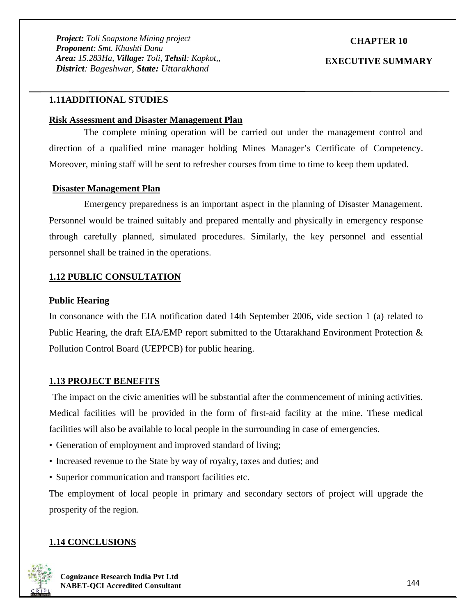# **CHAPTER 10**

#### **EXECUTIVE SUMMARY**

### **1.11ADDITIONAL STUDIES**

### **Risk Assessment and Disaster Management Plan**

The complete mining operation will be carried out under the management control and direction of a qualified mine manager holding Mines Manager's Certificate of Competency. Moreover, mining staff will be sent to refresher courses from time to time to keep them updated.

## **Disaster Management Plan**

Emergency preparedness is an important aspect in the planning of Disaster Management. Personnel would be trained suitably and prepared mentally and physically in emergency response through carefully planned, simulated procedures. Similarly, the key personnel and essential personnel shall be trained in the operations.

#### **1.12 PUBLIC CONSULTATION**

#### **Public Hearing**

In consonance with the EIA notification dated 14th September 2006, vide section 1 (a) related to Public Hearing, the draft EIA/EMP report submitted to the Uttarakhand Environment Protection & Pollution Control Board (UEPPCB) for public hearing.

#### **1.13 PROJECT BENEFITS**

The impact on the civic amenities will be substantial after the commencement of mining activities. Medical facilities will be provided in the form of first-aid facility at the mine. These medical facilities will also be available to local people in the surrounding in case of emergencies.

- Generation of employment and improved standard of living;
- Increased revenue to the State by way of royalty, taxes and duties; and
- Superior communication and transport facilities etc.

The employment of local people in primary and secondary sectors of project will upgrade the prosperity of the region.

#### **1.14 CONCLUSIONS**